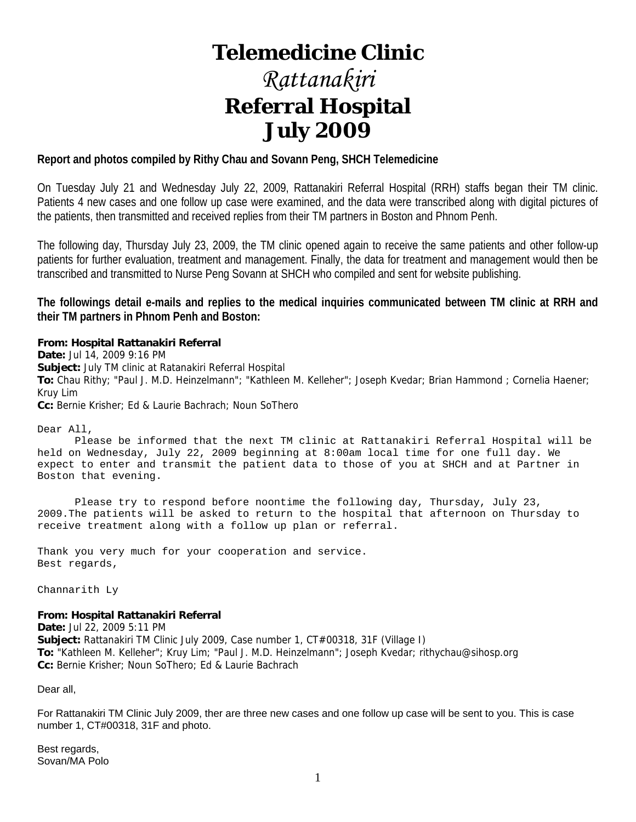# **Telemedicine Clinic**

# *Rattanakiri*  **Referral Hospital July 2009**

# **Report and photos compiled by Rithy Chau and Sovann Peng, SHCH Telemedicine**

On Tuesday July 21 and Wednesday July 22, 2009, Rattanakiri Referral Hospital (RRH) staffs began their TM clinic. Patients 4 new cases and one follow up case were examined, and the data were transcribed along with digital pictures of the patients, then transmitted and received replies from their TM partners in Boston and Phnom Penh.

The following day, Thursday July 23, 2009, the TM clinic opened again to receive the same patients and other follow-up patients for further evaluation, treatment and management. Finally, the data for treatment and management would then be transcribed and transmitted to Nurse Peng Sovann at SHCH who compiled and sent for website publishing.

**The followings detail e-mails and replies to the medical inquiries communicated between TM clinic at RRH and their TM partners in Phnom Penh and Boston:** 

#### **From: Hospital Rattanakiri Referral**

**Date:** Jul 14, 2009 9:16 PM **Subject:** July TM clinic at Ratanakiri Referral Hospital **To:** Chau Rithy; "Paul J. M.D. Heinzelmann"; "Kathleen M. Kelleher"; Joseph Kvedar; Brian Hammond ; Cornelia Haener; Kruy Lim **Cc:** Bernie Krisher; Ed & Laurie Bachrach; Noun SoThero

Dear All,

 Please be informed that the next TM clinic at Rattanakiri Referral Hospital will be held on Wednesday, July 22, 2009 beginning at 8:00am local time for one full day. We expect to enter and transmit the patient data to those of you at SHCH and at Partner in Boston that evening.

 Please try to respond before noontime the following day, Thursday, July 23, 2009.The patients will be asked to return to the hospital that afternoon on Thursday to receive treatment along with a follow up plan or referral.

Thank you very much for your cooperation and service. Best regards,

Channarith Ly

#### **From: Hospital Rattanakiri Referral**

**Date:** Jul 22, 2009 5:11 PM **Subject:** Rattanakiri TM Clinic July 2009, Case number 1, CT#00318, 31F (Village I) **To:** "Kathleen M. Kelleher"; Kruy Lim; "Paul J. M.D. Heinzelmann"; Joseph Kvedar; rithychau@sihosp.org **Cc:** Bernie Krisher; Noun SoThero; Ed & Laurie Bachrach

Dear all,

For Rattanakiri TM Clinic July 2009, ther are three new cases and one follow up case will be sent to you. This is case number 1, CT#00318, 31F and photo.

Best regards, Sovan/MA Polo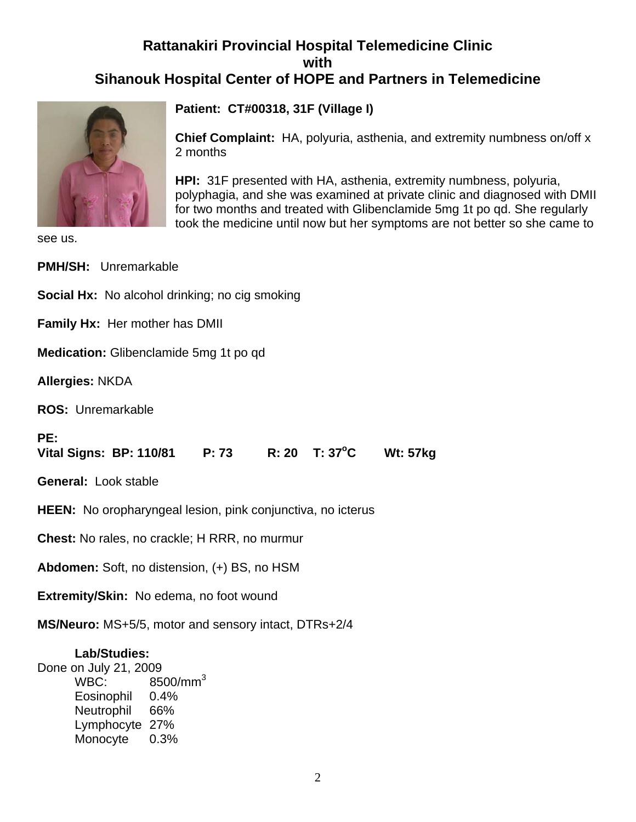# **Rattanakiri Provincial Hospital Telemedicine Clinic with Sihanouk Hospital Center of HOPE and Partners in Telemedicine**



**Patient: CT#00318, 31F (Village I)**

**Chief Complaint:** HA, polyuria, asthenia, and extremity numbness on/off x 2 months

**HPI:** 31F presented with HA, asthenia, extremity numbness, polyuria, polyphagia, and she was examined at private clinic and diagnosed with DMII for two months and treated with Glibenclamide 5mg 1t po qd. She regularly took the medicine until now but her symptoms are not better so she came to

see us.

| <b>PMH/SH: Unremarkable</b>                                        |  |  |  |  |
|--------------------------------------------------------------------|--|--|--|--|
| <b>Social Hx:</b> No alcohol drinking; no cig smoking              |  |  |  |  |
| Family Hx: Her mother has DMII                                     |  |  |  |  |
| Medication: Glibenclamide 5mg 1t po qd                             |  |  |  |  |
| <b>Allergies: NKDA</b>                                             |  |  |  |  |
| ROS: Unremarkable                                                  |  |  |  |  |
| PE:                                                                |  |  |  |  |
| Vital Signs: BP: 110/81   P: 73   R: 20   T: 37°C   Wt: 57kg       |  |  |  |  |
| General: Look stable                                               |  |  |  |  |
| <b>HEEN:</b> No oropharyngeal lesion, pink conjunctiva, no icterus |  |  |  |  |
| <b>Chest:</b> No rales, no crackle; H RRR, no murmur               |  |  |  |  |
| <b>Abdomen:</b> Soft, no distension, (+) BS, no HSM                |  |  |  |  |
| Extremity/Skin: No edema, no foot wound                            |  |  |  |  |

# **Lab/Studies:**

Done on July 21, 2009 WBC: 8500/mm<sup>3</sup> Eosinophil 0.4% Neutrophil 66% Lymphocyte 27% Monocyte 0.3%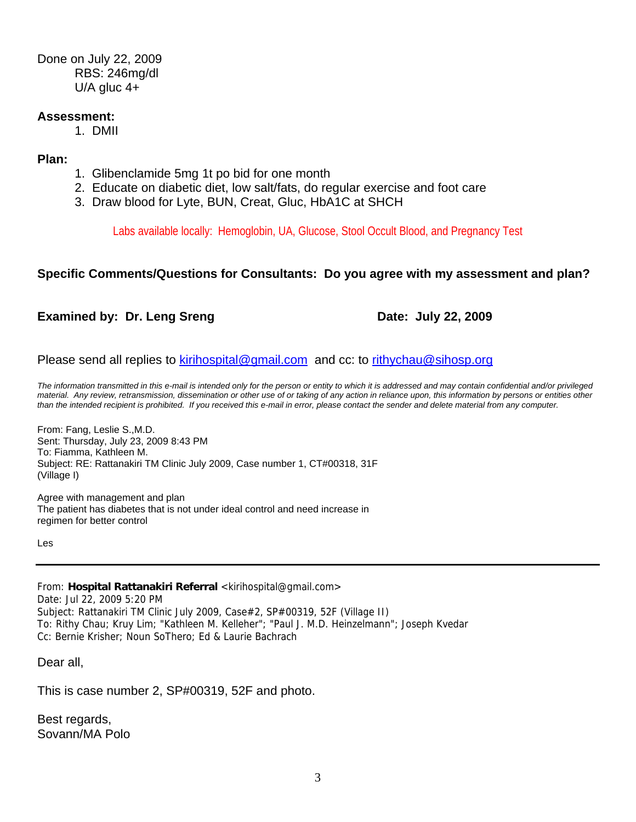Done on July 22, 2009 RBS: 246mg/dl U/A gluc 4+

# **Assessment:**

1. DMII

**Plan:** 

- 1. Glibenclamide 5mg 1t po bid for one month
- 2. Educate on diabetic diet, low salt/fats, do regular exercise and foot care
- 3. Draw blood for Lyte, BUN, Creat, Gluc, HbA1C at SHCH

Labs available locally: Hemoglobin, UA, Glucose, Stool Occult Blood, and Pregnancy Test

# **Specific Comments/Questions for Consultants: Do you agree with my assessment and plan?**

# **Examined by: Dr. Leng Sreng Date: July 22, 2009**

Please send all replies to kirihospital@gmail.com and cc: to rithychau@sihosp.org

*The information transmitted in this e-mail is intended only for the person or entity to which it is addressed and may contain confidential and/or privileged material. Any review, retransmission, dissemination or other use of or taking of any action in reliance upon, this information by persons or entities other than the intended recipient is prohibited. If you received this e-mail in error, please contact the sender and delete material from any computer.*

From: Fang, Leslie S.,M.D. Sent: Thursday, July 23, 2009 8:43 PM To: Fiamma, Kathleen M. Subject: RE: Rattanakiri TM Clinic July 2009, Case number 1, CT#00318, 31F (Village I)

Agree with management and plan The patient has diabetes that is not under ideal control and need increase in regimen for better control

Les

From: **Hospital Rattanakiri Referral** <kirihospital@gmail.com> Date: Jul 22, 2009 5:20 PM Subject: Rattanakiri TM Clinic July 2009, Case#2, SP#00319, 52F (Village II) To: Rithy Chau; Kruy Lim; "Kathleen M. Kelleher"; "Paul J. M.D. Heinzelmann"; Joseph Kvedar Cc: Bernie Krisher; Noun SoThero; Ed & Laurie Bachrach

Dear all,

This is case number 2, SP#00319, 52F and photo.

Best regards, Sovann/MA Polo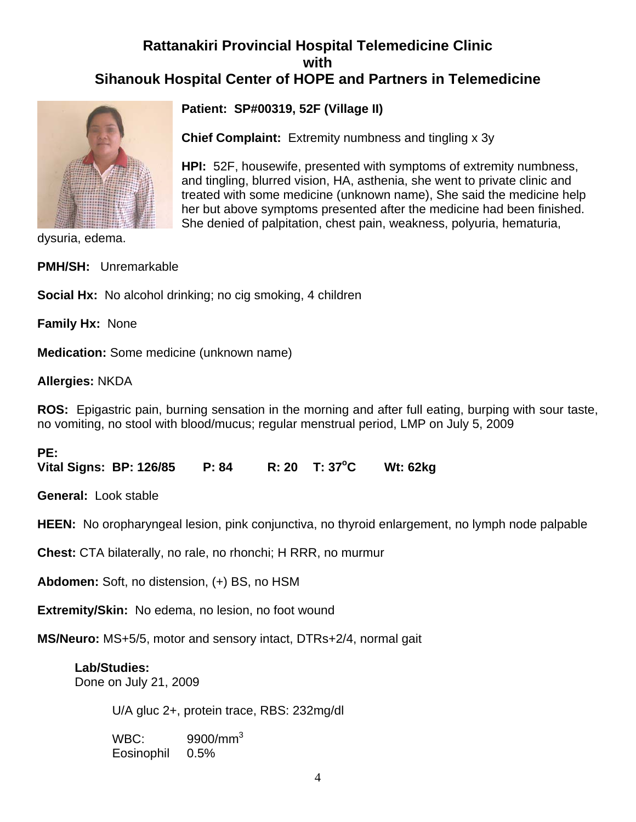# **Rattanakiri Provincial Hospital Telemedicine Clinic with Sihanouk Hospital Center of HOPE and Partners in Telemedicine**



**Patient: SP#00319, 52F (Village II)**

**Chief Complaint:** Extremity numbness and tingling x 3y

**HPI:** 52F, housewife, presented with symptoms of extremity numbness, and tingling, blurred vision, HA, asthenia, she went to private clinic and treated with some medicine (unknown name), She said the medicine help her but above symptoms presented after the medicine had been finished. She denied of palpitation, chest pain, weakness, polyuria, hematuria,

dysuria, edema.

**PMH/SH:** Unremarkable

**Social Hx:** No alcohol drinking; no cig smoking, 4 children

**Family Hx:** None

**Medication:** Some medicine (unknown name)

**Allergies:** NKDA

**ROS:** Epigastric pain, burning sensation in the morning and after full eating, burping with sour taste, no vomiting, no stool with blood/mucus; regular menstrual period, LMP on July 5, 2009

**PE:** 

**Vital Signs: BP: 126/85 P: 84 R: 20 T: 37 °C C Wt: 62kg** 

**General:** Look stable

**HEEN:** No oropharyngeal lesion, pink conjunctiva, no thyroid enlargement, no lymph node palpable

**Chest:** CTA bilaterally, no rale, no rhonchi; H RRR, no murmur

**Abdomen:** Soft, no distension, (+) BS, no HSM

**Extremity/Skin:** No edema, no lesion, no foot wound

**MS/Neuro:** MS+5/5, motor and sensory intact, DTRs+2/4, normal gait

# **Lab/Studies:**  Done on July 21, 2009

U/A gluc 2+, protein trace, RBS: 232mg/dl

 WBC: 9900/mm3 Eosinophil 0.5%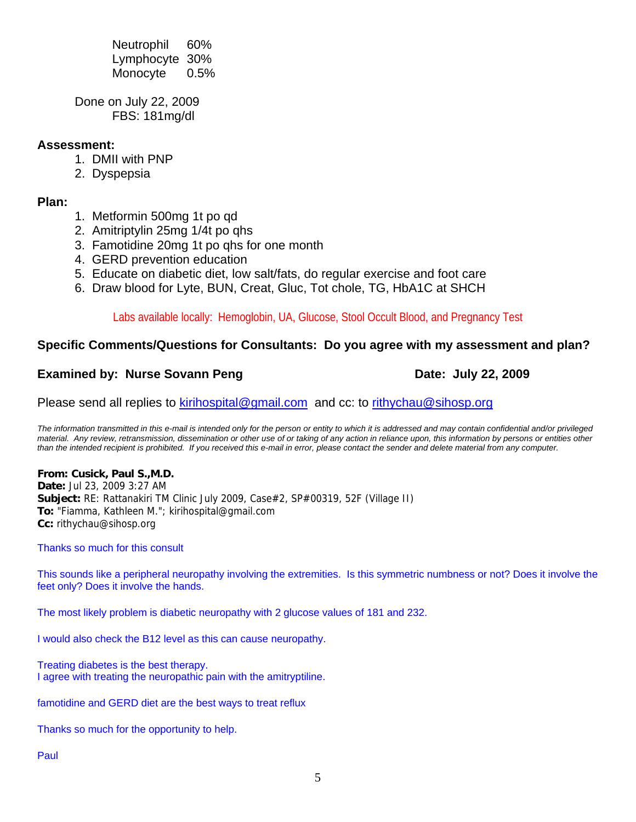Neutrophil 60% Lymphocyte 30% Monocyte 0.5%

Done on July 22, 2009 FBS: 181mg/dl

# **Assessment:**

- 1. DMII with PNP
- 2. Dyspepsia

# **Plan:**

- 1. Metformin 500mg 1t po qd
- 2. Amitriptylin 25mg 1/4t po qhs
- 3. Famotidine 20mg 1t po qhs for one month
- 4. GERD prevention education
- 5. Educate on diabetic diet, low salt/fats, do regular exercise and foot care
- 6. Draw blood for Lyte, BUN, Creat, Gluc, Tot chole, TG, HbA1C at SHCH

Labs available locally: Hemoglobin, UA, Glucose, Stool Occult Blood, and Pregnancy Test

# **Specific Comments/Questions for Consultants: Do you agree with my assessment and plan?**

# **Examined by: Nurse Sovann Peng Date: July 22, 2009**

Please send all replies to kirihospital@gmail.com and cc: to rithychau@sihosp.org

*The information transmitted in this e-mail is intended only for the person or entity to which it is addressed and may contain confidential and/or privileged material. Any review, retransmission, dissemination or other use of or taking of any action in reliance upon, this information by persons or entities other than the intended recipient is prohibited. If you received this e-mail in error, please contact the sender and delete material from any computer.*

**From: Cusick, Paul S.,M.D. Date:** Jul 23, 2009 3:27 AM **Subject:** RE: Rattanakiri TM Clinic July 2009, Case#2, SP#00319, 52F (Village II) **To:** "Fiamma, Kathleen M."; kirihospital@gmail.com **Cc:** rithychau@sihosp.org

Thanks so much for this consult

This sounds like a peripheral neuropathy involving the extremities. Is this symmetric numbness or not? Does it involve the feet only? Does it involve the hands.

The most likely problem is diabetic neuropathy with 2 glucose values of 181 and 232.

I would also check the B12 level as this can cause neuropathy.

Treating diabetes is the best therapy. I agree with treating the neuropathic pain with the amitryptiline.

famotidine and GERD diet are the best ways to treat reflux

Thanks so much for the opportunity to help.

Paul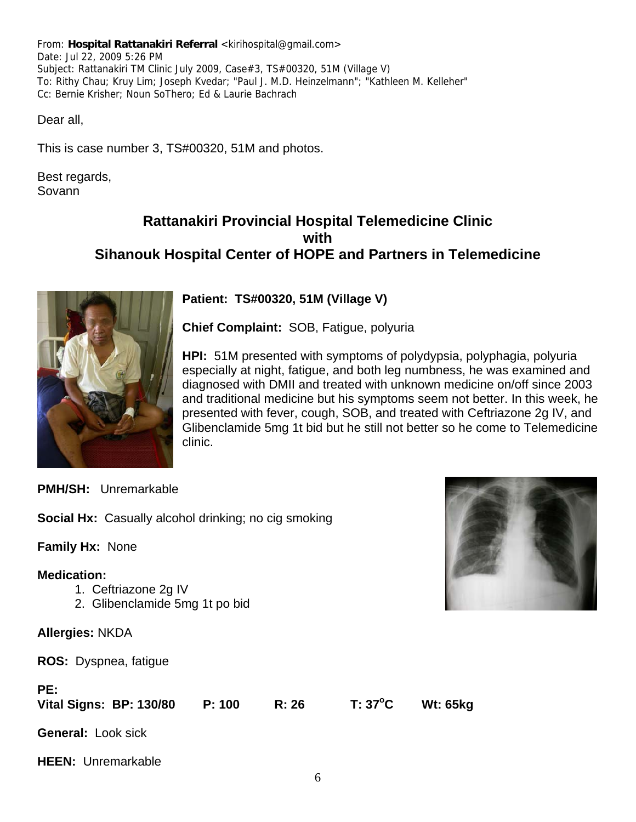From: **Hospital Rattanakiri Referral** <kirihospital@gmail.com> Date: Jul 22, 2009 5:26 PM Subject: Rattanakiri TM Clinic July 2009, Case#3, TS#00320, 51M (Village V) To: Rithy Chau; Kruy Lim; Joseph Kvedar; "Paul J. M.D. Heinzelmann"; "Kathleen M. Kelleher" Cc: Bernie Krisher; Noun SoThero; Ed & Laurie Bachrach

Dear all,

This is case number 3, TS#00320, 51M and photos.

Best regards, Sovann

# **Rattanakiri Provincial Hospital Telemedicine Clinic with Sihanouk Hospital Center of HOPE and Partners in Telemedicine**



**Patient: TS#00320, 51M (Village V)**

**Chief Complaint:** SOB, Fatigue, polyuria

**HPI:** 51M presented with symptoms of polydypsia, polyphagia, polyuria especially at night, fatigue, and both leg numbness, he was examined and diagnosed with DMII and treated with unknown medicine on/off since 2003 and traditional medicine but his symptoms seem not better. In this week, he presented with fever, cough, SOB, and treated with Ceftriazone 2g IV, and Glibenclamide 5mg 1t bid but he still not better so he come to Telemedicine clinic.

**PMH/SH:** Unremarkable

**Social Hx:** Casually alcohol drinking; no cig smoking

**Family Hx:** None

# **Medication:**

- 1. Ceftriazone 2g IV
- 2. Glibenclamide 5mg 1t po bid

**Allergies:** NKDA

**ROS:** Dyspnea, fatigue

| PE:<br><b>Vital Signs: BP: 130/80</b> | P: 100 | R: 26 | T: 37°C | <b>Wt: 65kg</b> |
|---------------------------------------|--------|-------|---------|-----------------|
| <b>General: Look sick</b>             |        |       |         |                 |
| <b>HEEN:</b> Unremarkable             |        |       |         |                 |

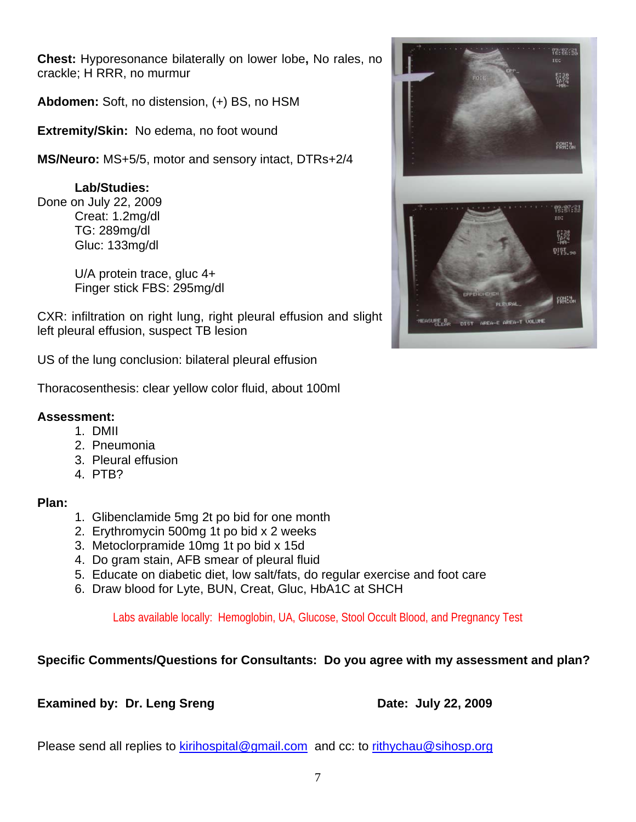**Chest:** Hyporesonance bilaterally on lower lobe**,** No rales, no crackle; H RRR, no murmur

**Abdomen:** Soft, no distension, (+) BS, no HSM

**Extremity/Skin:** No edema, no foot wound

**MS/Neuro:** MS+5/5, motor and sensory intact, DTRs+2/4

# **Lab/Studies:**

Done on July 22, 2009 Creat: 1.2mg/dl TG: 289mg/dl Gluc: 133mg/dl

> U/A protein trace, gluc 4+ Finger stick FBS: 295mg/dl

CXR: infiltration on right lung, right pleural effusion and slight left pleural effusion, suspect TB lesion

US of the lung conclusion: bilateral pleural effusion

Thoracosenthesis: clear yellow color fluid, about 100ml

# **Assessment:**

- 1. DMII
- 2. Pneumonia
- 3. Pleural effusion
- 4. PTB?

# **Plan:**

- 1. Glibenclamide 5mg 2t po bid for one month
- 2. Erythromycin 500mg 1t po bid x 2 weeks
- 3. Metoclorpramide 10mg 1t po bid x 15d
- 4. Do gram stain, AFB smear of pleural fluid
- 5. Educate on diabetic diet, low salt/fats, do regular exercise and foot care
- 6. Draw blood for Lyte, BUN, Creat, Gluc, HbA1C at SHCH

Labs available locally: Hemoglobin, UA, Glucose, Stool Occult Blood, and Pregnancy Test

# **Specific Comments/Questions for Consultants: Do you agree with my assessment and plan?**

# **Examined by: Dr. Leng Sreng Date: July 22, 2009**

Please send all replies to kirihospital@gmail.com and cc: to rithychau@sihosp.org

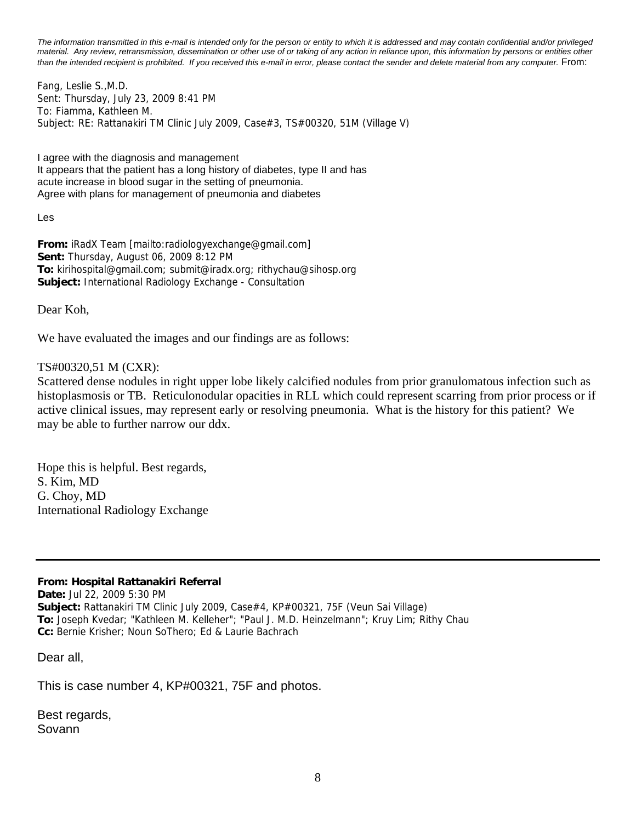*The information transmitted in this e-mail is intended only for the person or entity to which it is addressed and may contain confidential and/or privileged material. Any review, retransmission, dissemination or other use of or taking of any action in reliance upon, this information by persons or entities other than the intended recipient is prohibited. If you received this e-mail in error, please contact the sender and delete material from any computer.* From:

Fang, Leslie S.,M.D. Sent: Thursday, July 23, 2009 8:41 PM To: Fiamma, Kathleen M. Subject: RE: Rattanakiri TM Clinic July 2009, Case#3, TS#00320, 51M (Village V)

I agree with the diagnosis and management It appears that the patient has a long history of diabetes, type II and has acute increase in blood sugar in the setting of pneumonia. Agree with plans for management of pneumonia and diabetes

Les

**From:** iRadX Team [mailto:radiologyexchange@gmail.com] **Sent:** Thursday, August 06, 2009 8:12 PM **To:** kirihospital@gmail.com; submit@iradx.org; rithychau@sihosp.org **Subject:** International Radiology Exchange - Consultation

Dear Koh,

We have evaluated the images and our findings are as follows:

# TS#00320,51 M (CXR):

Scattered dense nodules in right upper lobe likely calcified nodules from prior granulomatous infection such as histoplasmosis or TB. Reticulonodular opacities in RLL which could represent scarring from prior process or if active clinical issues, may represent early or resolving pneumonia. What is the history for this patient? We may be able to further narrow our ddx.

Hope this is helpful. Best regards, S. Kim, MD G. Choy, MD International Radiology Exchange

# **From: Hospital Rattanakiri Referral**

**Date:** Jul 22, 2009 5:30 PM **Subject:** Rattanakiri TM Clinic July 2009, Case#4, KP#00321, 75F (Veun Sai Village) **To:** Joseph Kvedar; "Kathleen M. Kelleher"; "Paul J. M.D. Heinzelmann"; Kruy Lim; Rithy Chau **Cc:** Bernie Krisher; Noun SoThero; Ed & Laurie Bachrach

Dear all,

This is case number 4, KP#00321, 75F and photos.

Best regards, Sovann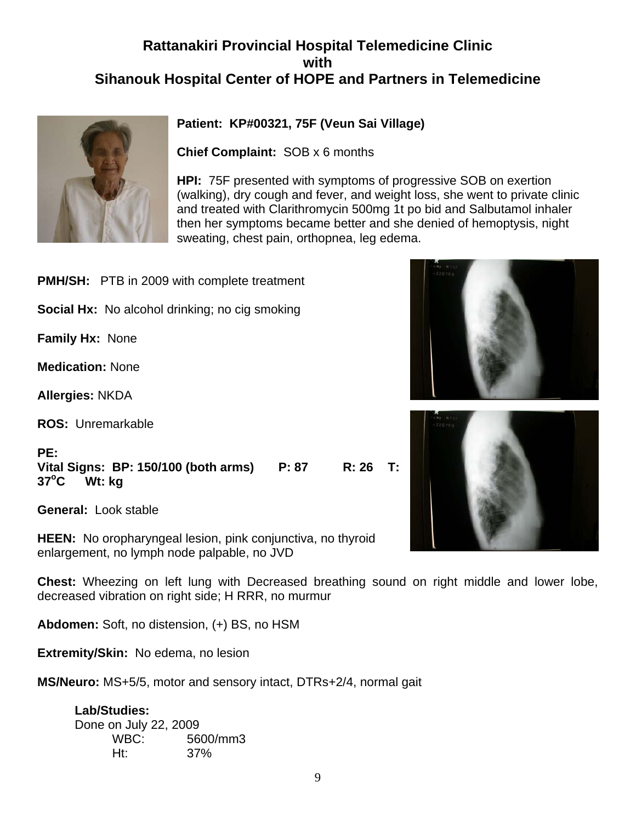# **Rattanakiri Provincial Hospital Telemedicine Clinic with Sihanouk Hospital Center of HOPE and Partners in Telemedicine**



# **Patient: KP#00321, 75F (Veun Sai Village)**

**Chief Complaint:** SOB x 6 months

**HPI:** 75F presented with symptoms of progressive SOB on exertion (walking), dry cough and fever, and weight loss, she went to private clinic and treated with Clarithromycin 500mg 1t po bid and Salbutamol inhaler then her symptoms became better and she denied of hemoptysis, night sweating, chest pain, orthopnea, leg edema.

- **PMH/SH:** PTB in 2009 with complete treatment
- **Social Hx:** No alcohol drinking; no cig smoking

**Family Hx:** None

**Medication:** None

**Allergies:** NKDA

**ROS:** Unremarkable

# **PE:**

**Vital Signs: BP: 150/100 (both arms) P: 87 R: 26 T: 37o C Wt: kg** 

**General:** Look stable

**HEEN:** No oropharyngeal lesion, pink conjunctiva, no thyroid enlargement, no lymph node palpable, no JVD

**Chest:** Wheezing on left lung with Decreased breathing sound on right middle and lower lobe, decreased vibration on right side; H RRR, no murmur

**Abdomen:** Soft, no distension, (+) BS, no HSM

**Extremity/Skin:** No edema, no lesion

**MS/Neuro:** MS+5/5, motor and sensory intact, DTRs+2/4, normal gait

**Lab/Studies:**  Done on July 22, 2009 WBC: 5600/mm3 Ht: 37%



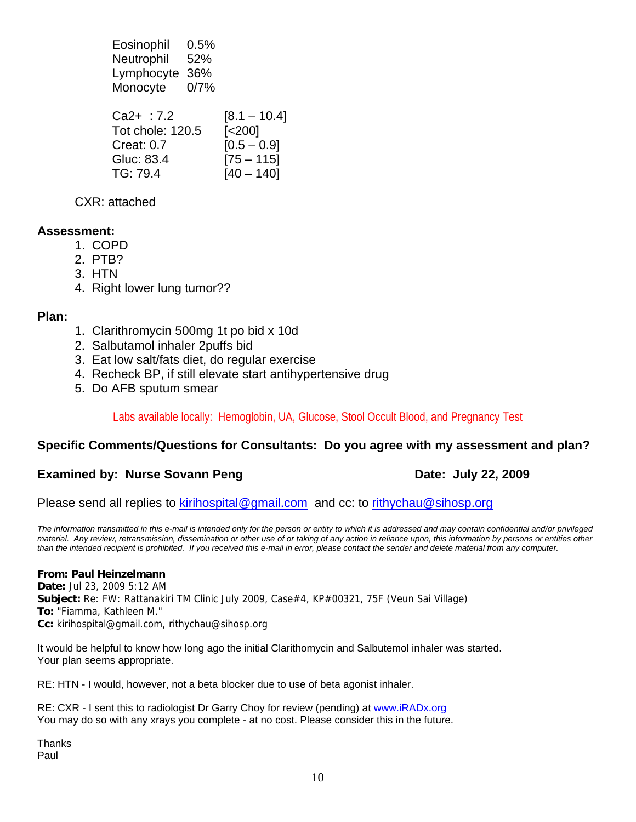Eosinophil 0.5% Neutrophil 52% Lymphocyte 36% Monocyte 0/7%

| $Ca2+ :7.2$      | $[8.1 - 10.4]$         |
|------------------|------------------------|
| Tot chole: 120.5 | $\left[ < 200 \right]$ |
| Creat: $0.7$     | $[0.5 - 0.9]$          |
| Gluc: 83.4       | $[75 - 115]$           |
| TG: 79.4         | $[40 - 140]$           |

CXR: attached

# **Assessment:**

- 1. COPD
- 2. PTB?
- 3. HTN
- 4. Right lower lung tumor??

# **Plan:**

- 1. Clarithromycin 500mg 1t po bid x 10d
- 2. Salbutamol inhaler 2puffs bid
- 3. Eat low salt/fats diet, do regular exercise
- 4. Recheck BP, if still elevate start antihypertensive drug
- 5. Do AFB sputum smear

# Labs available locally: Hemoglobin, UA, Glucose, Stool Occult Blood, and Pregnancy Test

# **Specific Comments/Questions for Consultants: Do you agree with my assessment and plan?**

# **Examined by: Nurse Sovann Peng Date: July 22, 2009**

Please send all replies to kirihospital@gmail.com and cc: to rithychau@sihosp.org

*The information transmitted in this e-mail is intended only for the person or entity to which it is addressed and may contain confidential and/or privileged material. Any review, retransmission, dissemination or other use of or taking of any action in reliance upon, this information by persons or entities other than the intended recipient is prohibited. If you received this e-mail in error, please contact the sender and delete material from any computer.*

# **From: Paul Heinzelmann**

**Date:** Jul 23, 2009 5:12 AM **Subject:** Re: FW: Rattanakiri TM Clinic July 2009, Case#4, KP#00321, 75F (Veun Sai Village) **To:** "Fiamma, Kathleen M." **Cc:** kirihospital@gmail.com, rithychau@sihosp.org

It would be helpful to know how long ago the initial Clarithomycin and Salbutemol inhaler was started. Your plan seems appropriate.

RE: HTN - I would, however, not a beta blocker due to use of beta agonist inhaler.

RE: CXR - I sent this to radiologist Dr Garry Choy for review (pending) at www.iRADx.org You may do so with any xrays you complete - at no cost. Please consider this in the future.

**Thanks** Paul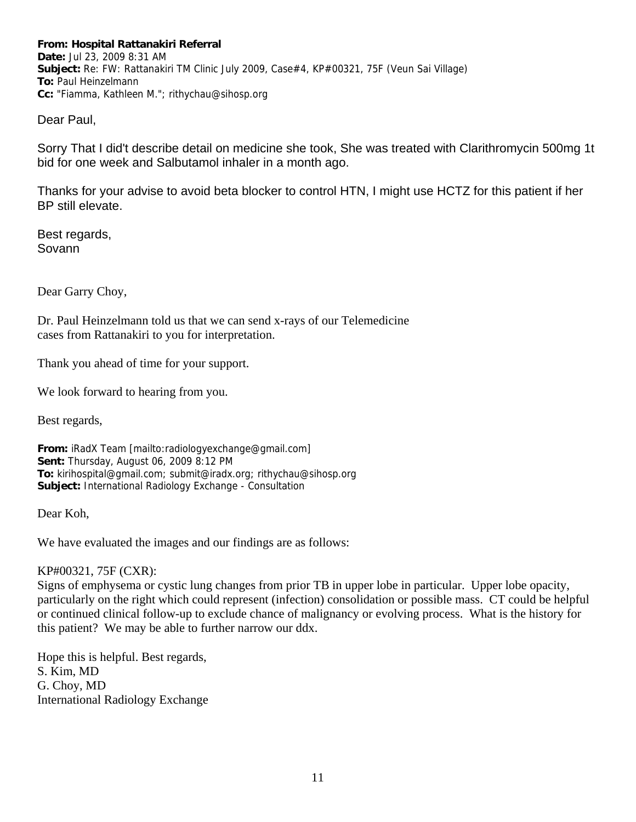**From: Hospital Rattanakiri Referral Date:** Jul 23, 2009 8:31 AM **Subject:** Re: FW: Rattanakiri TM Clinic July 2009, Case#4, KP#00321, 75F (Veun Sai Village) **To:** Paul Heinzelmann **Cc:** "Fiamma, Kathleen M."; rithychau@sihosp.org

Dear Paul,

Sorry That I did't describe detail on medicine she took, She was treated with Clarithromycin 500mg 1t bid for one week and Salbutamol inhaler in a month ago.

Thanks for your advise to avoid beta blocker to control HTN, I might use HCTZ for this patient if her BP still elevate.

Best regards, Sovann

Dear Garry Choy,

Dr. Paul Heinzelmann told us that we can send x-rays of our Telemedicine cases from Rattanakiri to you for interpretation.

Thank you ahead of time for your support.

We look forward to hearing from you.

Best regards,

**From:** iRadX Team [mailto:radiologyexchange@gmail.com] **Sent:** Thursday, August 06, 2009 8:12 PM **To:** kirihospital@gmail.com; submit@iradx.org; rithychau@sihosp.org **Subject:** International Radiology Exchange - Consultation

Dear Koh,

We have evaluated the images and our findings are as follows:

KP#00321, 75F (CXR):

Signs of emphysema or cystic lung changes from prior TB in upper lobe in particular. Upper lobe opacity, particularly on the right which could represent (infection) consolidation or possible mass. CT could be helpful or continued clinical follow-up to exclude chance of malignancy or evolving process. What is the history for this patient? We may be able to further narrow our ddx.

Hope this is helpful. Best regards, S. Kim, MD G. Choy, MD International Radiology Exchange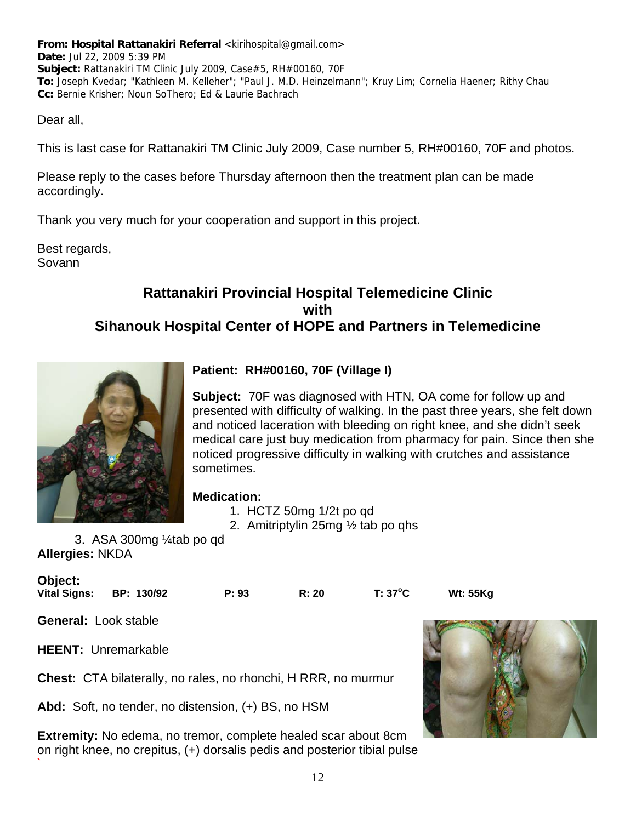**From: Hospital Rattanakiri Referral <kirihospital@gmail.com> Date:** Jul 22, 2009 5:39 PM **Subject:** Rattanakiri TM Clinic July 2009, Case#5, RH#00160, 70F **To:** Joseph Kvedar; "Kathleen M. Kelleher"; "Paul J. M.D. Heinzelmann"; Kruy Lim; Cornelia Haener; Rithy Chau **Cc:** Bernie Krisher; Noun SoThero; Ed & Laurie Bachrach

Dear all,

This is last case for Rattanakiri TM Clinic July 2009, Case number 5, RH#00160, 70F and photos.

Please reply to the cases before Thursday afternoon then the treatment plan can be made accordingly.

Thank you very much for your cooperation and support in this project.

Best regards, Sovann

# **Rattanakiri Provincial Hospital Telemedicine Clinic with Sihanouk Hospital Center of HOPE and Partners in Telemedicine**



# **Patient: RH#00160, 70F (Village I)**

**Subject:** 70F was diagnosed with HTN, OA come for follow up and presented with difficulty of walking. In the past three years, she felt down and noticed laceration with bleeding on right knee, and she didn't seek medical care just buy medication from pharmacy for pain. Since then she noticed progressive difficulty in walking with crutches and assistance sometimes.

# **Medication:**

- 1. HCTZ 50mg 1/2t po qd
- 2. Amitriptylin 25mg ½ tab po qhs

3. ASA 300mg ¼tab po qd **Allergies:** NKDA

| <b>Object:</b><br>Vital Signs: | BP: 130/92 | P: 93 | R: 20 | $T: 37^{\circ}C$ | <b>Wt: 55Kg</b> |
|--------------------------------|------------|-------|-------|------------------|-----------------|
| <b>General: Look stable</b>    |            |       |       |                  |                 |

**HEENT:** Unremarkable

**`** 

**Chest:** CTA bilaterally, no rales, no rhonchi, H RRR, no murmur

**Abd:** Soft, no tender, no distension, (+) BS, no HSM

**Extremity:** No edema, no tremor, complete healed scar about 8cm on right knee, no crepitus, (+) dorsalis pedis and posterior tibial pulse

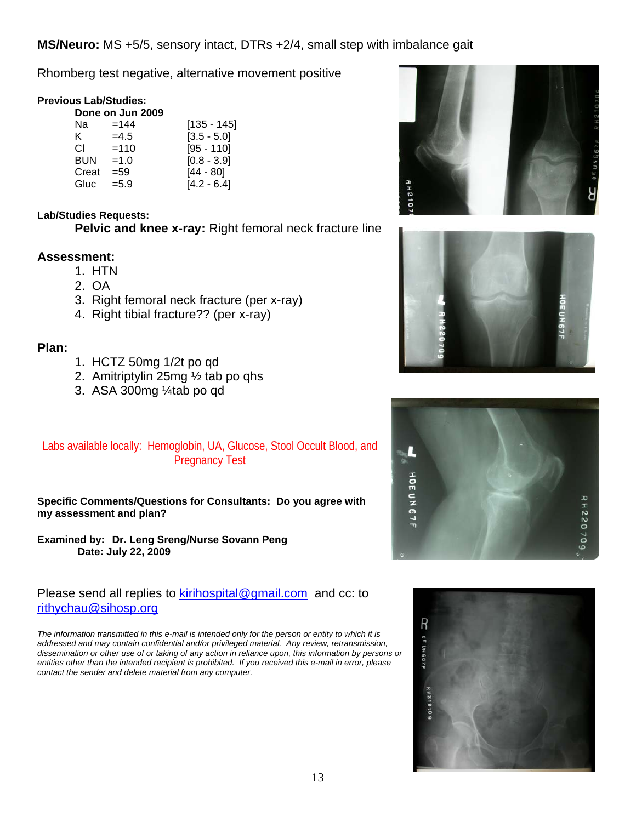**MS/Neuro:** MS +5/5, sensory intact, DTRs +2/4, small step with imbalance gait

Rhomberg test negative, alternative movement positive

# **Previous Lab/Studies:**

|            | Done on Jun 2009 |               |
|------------|------------------|---------------|
| Na         | $=144$           | $[135 - 145]$ |
| ĸ.         | $=4.5$           | $[3.5 - 5.0]$ |
| CI.        | $=110$           | $[95 - 110]$  |
| <b>BUN</b> | $=1.0$           | $[0.8 - 3.9]$ |
| Creat      | $= 59$           | $[44 - 80]$   |
| Gluc       | $= 5.9$          | $[4.2 - 6.4]$ |

# **Lab/Studies Requests:**

**Pelvic and knee x-ray:** Right femoral neck fracture line

# **Assessment:**

- 1. HTN
- 2. OA
- 3. Right femoral neck fracture (per x-ray)
- 4. Right tibial fracture?? (per x-ray)

# **Plan:**

- 1. HCTZ 50mg 1/2t po qd
- 2. Amitriptylin 25mg ½ tab po qhs
- 3. ASA 300mg ¼tab po qd

# Labs available locally: Hemoglobin, UA, Glucose, Stool Occult Blood, and Pregnancy Test

**Specific Comments/Questions for Consultants: Do you agree with my assessment and plan?**

**Examined by: Dr. Leng Sreng/Nurse Sovann Peng Date: July 22, 2009** 

# Please send all replies to kirihospital@gmail.com and cc: to rithychau@sihosp.org

*The information transmitted in this e-mail is intended only for the person or entity to which it is addressed and may contain confidential and/or privileged material. Any review, retransmission, dissemination or other use of or taking of any action in reliance upon, this information by persons or*  entities other than the intended recipient is prohibited. If you received this e-mail in error, please *contact the sender and delete material from any computer.*







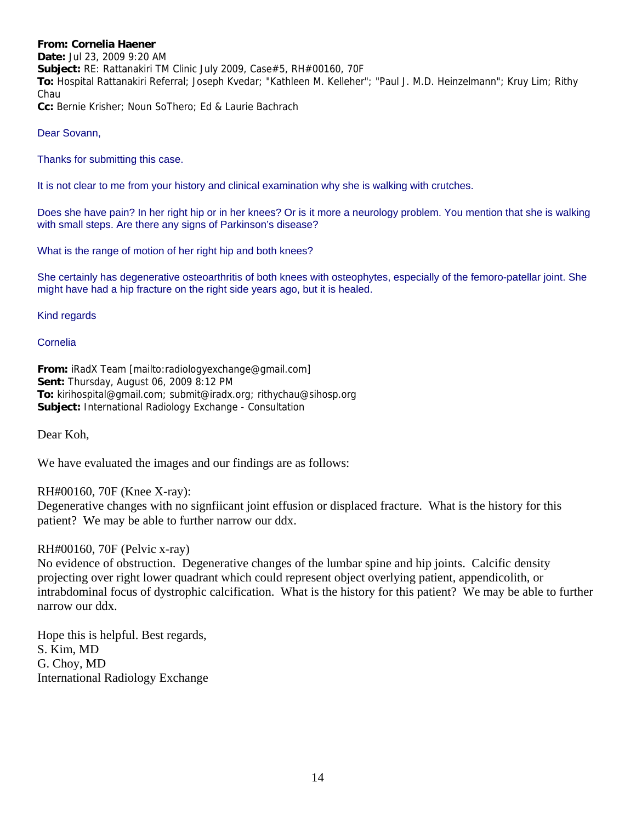#### **From: Cornelia Haener**

**Date:** Jul 23, 2009 9:20 AM **Subject:** RE: Rattanakiri TM Clinic July 2009, Case#5, RH#00160, 70F **To:** Hospital Rattanakiri Referral; Joseph Kvedar; "Kathleen M. Kelleher"; "Paul J. M.D. Heinzelmann"; Kruy Lim; Rithy Chau **Cc:** Bernie Krisher; Noun SoThero; Ed & Laurie Bachrach

#### Dear Sovann,

Thanks for submitting this case.

It is not clear to me from your history and clinical examination why she is walking with crutches.

Does she have pain? In her right hip or in her knees? Or is it more a neurology problem. You mention that she is walking with small steps. Are there any signs of Parkinson's disease?

What is the range of motion of her right hip and both knees?

She certainly has degenerative osteoarthritis of both knees with osteophytes, especially of the femoro-patellar joint. She might have had a hip fracture on the right side years ago, but it is healed.

#### Kind regards

#### Cornelia

**From:** iRadX Team [mailto:radiologyexchange@gmail.com] **Sent:** Thursday, August 06, 2009 8:12 PM **To:** kirihospital@gmail.com; submit@iradx.org; rithychau@sihosp.org **Subject:** International Radiology Exchange - Consultation

Dear Koh,

We have evaluated the images and our findings are as follows:

RH#00160, 70F (Knee X-ray):

Degenerative changes with no signfiicant joint effusion or displaced fracture. What is the history for this patient? We may be able to further narrow our ddx.

# RH#00160, 70F (Pelvic x-ray)

No evidence of obstruction. Degenerative changes of the lumbar spine and hip joints. Calcific density projecting over right lower quadrant which could represent object overlying patient, appendicolith, or intrabdominal focus of dystrophic calcification. What is the history for this patient? We may be able to further narrow our ddx.

Hope this is helpful. Best regards, S. Kim, MD G. Choy, MD International Radiology Exchange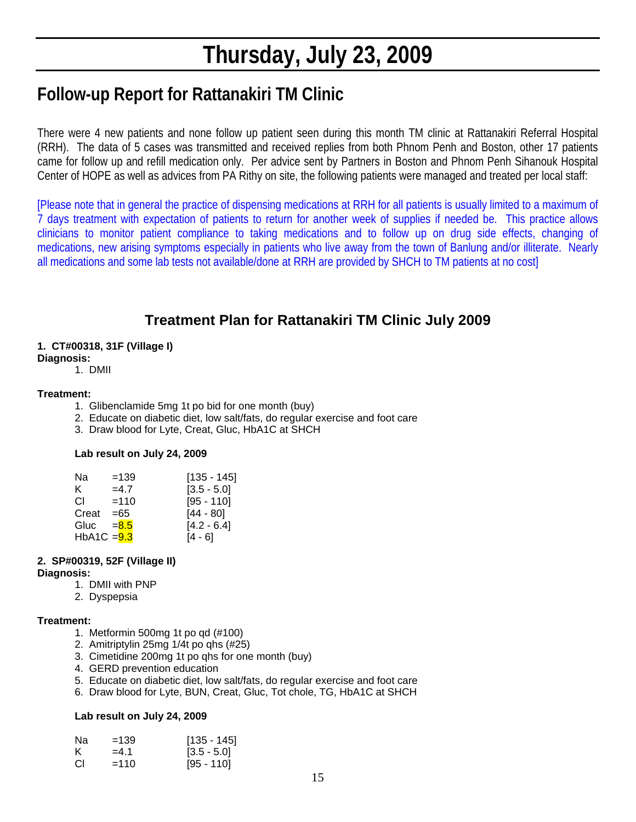# **Thursday, July 23, 2009**

# **Follow-up Report for Rattanakiri TM Clinic**

There were 4 new patients and none follow up patient seen during this month TM clinic at Rattanakiri Referral Hospital (RRH). The data of 5 cases was transmitted and received replies from both Phnom Penh and Boston, other 17 patients came for follow up and refill medication only. Per advice sent by Partners in Boston and Phnom Penh Sihanouk Hospital Center of HOPE as well as advices from PA Rithy on site, the following patients were managed and treated per local staff:

[Please note that in general the practice of dispensing medications at RRH for all patients is usually limited to a maximum of 7 days treatment with expectation of patients to return for another week of supplies if needed be. This practice allows clinicians to monitor patient compliance to taking medications and to follow up on drug side effects, changing of medications, new arising symptoms especially in patients who live away from the town of Banlung and/or illiterate. Nearly all medications and some lab tests not available/done at RRH are provided by SHCH to TM patients at no cost]

# **Treatment Plan for Rattanakiri TM Clinic July 2009**

# **1. CT#00318, 31F (Village I)**

**Diagnosis:**  1. DMII

# **Treatment:**

- 1. Glibenclamide 5mg 1t po bid for one month (buy)
- 2. Educate on diabetic diet, low salt/fats, do regular exercise and foot care
- 3. Draw blood for Lyte, Creat, Gluc, HbA1C at SHCH

# **Lab result on July 24, 2009**

| Na            | $=139$  | $[135 - 145]$ |
|---------------|---------|---------------|
| K.            | $=4.7$  | $[3.5 - 5.0]$ |
| CL.           | $=110$  | $[95 - 110]$  |
| Creat         | $=65$   | $[44 - 80]$   |
| Gluc          | $= 8.5$ | $[4.2 - 6.4]$ |
| HbA1C $=$ 9.3 |         | [4 - 6]       |

# **2. SP#00319, 52F (Village II)**

#### **Diagnosis:**

- 1. DMII with PNP
- 2. Dyspepsia

# **Treatment:**

- 1. Metformin 500mg 1t po qd (#100)
- 2. Amitriptylin 25mg 1/4t po qhs (#25)
- 3. Cimetidine 200mg 1t po qhs for one month (buy)
- 4. GERD prevention education
- 5. Educate on diabetic diet, low salt/fats, do regular exercise and foot care
- 6. Draw blood for Lyte, BUN, Creat, Gluc, Tot chole, TG, HbA1C at SHCH

# **Lab result on July 24, 2009**

| Nа | $=139$ | $[135 - 145]$ |
|----|--------|---------------|
|    | $=4.1$ | $[3.5 - 5.0]$ |
| СI | $=110$ | $[95 - 110]$  |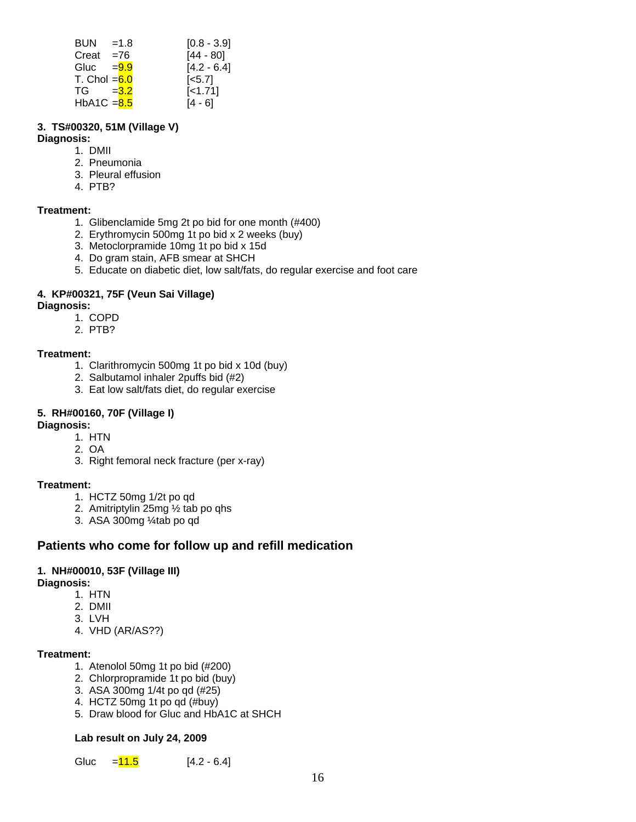| $BUN = 1.8$    | $[0.8 - 3.9]$      |
|----------------|--------------------|
| $Creat = 76$   | $[44 - 80]$        |
| Gluc $=9.9$    | $[4.2 - 6.4]$      |
| T. Chol $=6.0$ | $\left[5.7\right]$ |
| $TG = 3.2$     | $[-1.71]$          |
| HbA1C $= 8.5$  | $[4 - 6]$          |

# **3. TS#00320, 51M (Village V)**

# **Diagnosis:**

- 1. DMII
- 2. Pneumonia
- 3. Pleural effusion
- 4. PTB?

# **Treatment:**

- 1. Glibenclamide 5mg 2t po bid for one month (#400)
- 2. Erythromycin 500mg 1t po bid x 2 weeks (buy)
- 3. Metoclorpramide 10mg 1t po bid x 15d
- 4. Do gram stain, AFB smear at SHCH
- 5. Educate on diabetic diet, low salt/fats, do regular exercise and foot care

# **4. KP#00321, 75F (Veun Sai Village)**

- **Diagnosis:** 
	- 1. COPD
	- 2. PTB?

# **Treatment:**

- 1. Clarithromycin 500mg 1t po bid x 10d (buy)
- 2. Salbutamol inhaler 2puffs bid (#2)
- 3. Eat low salt/fats diet, do regular exercise

# **5. RH#00160, 70F (Village I)**

#### **Diagnosis:**

- 1. HTN
- 2. OA
- 3. Right femoral neck fracture (per x-ray)

# **Treatment:**

- 1. HCTZ 50mg 1/2t po qd
- 2. Amitriptylin 25mg ½ tab po qhs
- 3. ASA 300mg ¼tab po qd

# **Patients who come for follow up and refill medication**

# **1. NH#00010, 53F (Village III)**

# **Diagnosis:**

- 1. HTN
- 2. DMII
- 3. LVH
- 4. VHD (AR/AS??)

# **Treatment:**

- 1. Atenolol 50mg 1t po bid (#200)
- 2. Chlorpropramide 1t po bid (buy)
- 3. ASA 300mg 1/4t po qd (#25)
- 4. HCTZ 50mg 1t po qd (#buy)
- 5. Draw blood for Gluc and HbA1C at SHCH

# **Lab result on July 24, 2009**

Gluc  $=$   $\frac{11.5}{11.5}$  [4.2 - 6.4]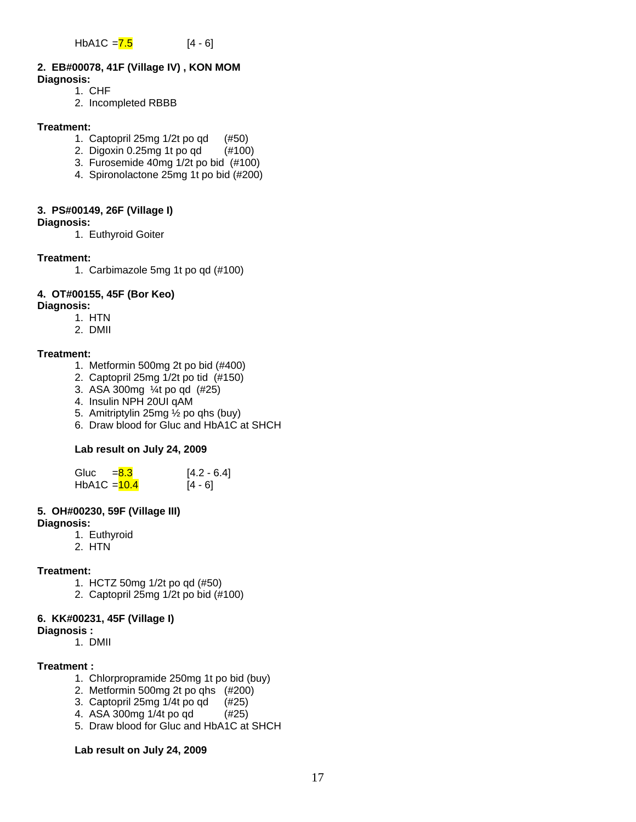HbA1C =  $\frac{7.5}{ }$  [4 - 6]

# **2. EB#00078, 41F (Village IV) , KON MOM**

- **Diagnosis:** 
	- 1. CHF
	- 2. Incompleted RBBB

#### **Treatment:**

- 1. Captopril 25mg 1/2t po qd (#50)
- 2. Digoxin 0.25mg 1t po qd (#100)
- 3. Furosemide 40mg 1/2t po bid (#100)
- 4. Spironolactone 25mg 1t po bid (#200)

# **3. PS#00149, 26F (Village I)**

- **Diagnosis:** 
	- 1. Euthyroid Goiter

# **Treatment:**

1. Carbimazole 5mg 1t po qd (#100)

# **4. OT#00155, 45F (Bor Keo)**

- **Diagnosis:** 
	- 1. HTN
	- 2. DMII

# **Treatment:**

- 1. Metformin 500mg 2t po bid (#400)
- 2. Captopril 25mg 1/2t po tid (#150)
- 3. ASA 300mg ¼t po qd (#25)
- 4. Insulin NPH 20UI qAM
- 5. Amitriptylin 25mg ½ po qhs (buy)
- 6. Draw blood for Gluc and HbA1C at SHCH

# **Lab result on July 24, 2009**

| Gluc $= 8.3$   | $[4.2 - 6.4]$ |
|----------------|---------------|
| HbA1C $=$ 10.4 | $[4 - 6]$     |

# **5. OH#00230, 59F (Village III)**

# **Diagnosis:**

- 1. Euthyroid
- 2. HTN

# **Treatment:**

- 1. HCTZ 50mg 1/2t po qd (#50)
- 2. Captopril 25mg 1/2t po bid (#100)

# **6. KK#00231, 45F (Village I)**

- **Diagnosis :**
	- 1. DMII

# **Treatment :**

- 1. Chlorpropramide 250mg 1t po bid (buy)
- 2. Metformin 500mg 2t po qhs (#200)
- 3. Captopril 25mg 1/4t po qd (#25)
- 4. ASA 300mg 1/4t po qd (#25)
- 5. Draw blood for Gluc and HbA1C at SHCH

# **Lab result on July 24, 2009**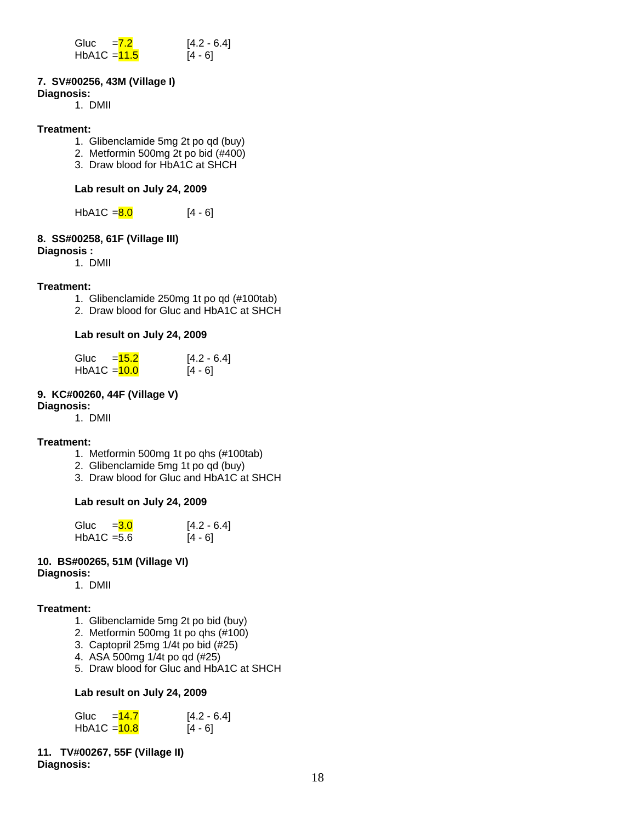| Gluc           | $= 7.2$ | $[4.2 - 6.4]$ |
|----------------|---------|---------------|
| HbA1C $=$ 11.5 |         | $[4 - 6]$     |

# **7. SV#00256, 43M (Village I)**

#### **Diagnosis:**

1. DMII

#### **Treatment:**

- 1. Glibenclamide 5mg 2t po qd (buy)
- 2. Metformin 500mg 2t po bid (#400)
- 3. Draw blood for HbA1C at SHCH

# **Lab result on July 24, 2009**

HbA1C =  $\frac{8.0}{14 - 6}$ 

# **8. SS#00258, 61F (Village III)**

# **Diagnosis :**

1. DMII

# **Treatment:**

- 1. Glibenclamide 250mg 1t po qd (#100tab)
- 2. Draw blood for Gluc and HbA1C at SHCH

# **Lab result on July 24, 2009**

| Gluc           | $= 15.2$ | $[4.2 - 6.4]$ |
|----------------|----------|---------------|
| $HbA1C = 10.0$ |          | $[4 - 6]$     |

# **9. KC#00260, 44F (Village V)**

**Diagnosis:**

1. DMII

# **Treatment:**

- 1. Metformin 500mg 1t po qhs (#100tab)
- 2. Glibenclamide 5mg 1t po qd (buy)
- 3. Draw blood for Gluc and HbA1C at SHCH

# **Lab result on July 24, 2009**

| Gluc $=$ 3.0  | $[4.2 - 6.4]$ |
|---------------|---------------|
| $HbA1C = 5.6$ | $[4 - 6]$     |

# **10. BS#00265, 51M (Village VI)**

# **Diagnosis:**

1. DMII

# **Treatment:**

- 1. Glibenclamide 5mg 2t po bid (buy)
- 2. Metformin 500mg 1t po qhs (#100)
- 3. Captopril 25mg 1/4t po bid (#25)
- 4. ASA 500mg 1/4t po qd (#25)
- 5. Draw blood for Gluc and HbA1C at SHCH

# **Lab result on July 24, 2009**

| Gluc<br>$= 14.7$ | $[4.2 - 6.4]$ |
|------------------|---------------|
| HbA1C $=$ 10.8   | $[4 - 6]$     |

#### **11. TV#00267, 55F (Village II) Diagnosis:**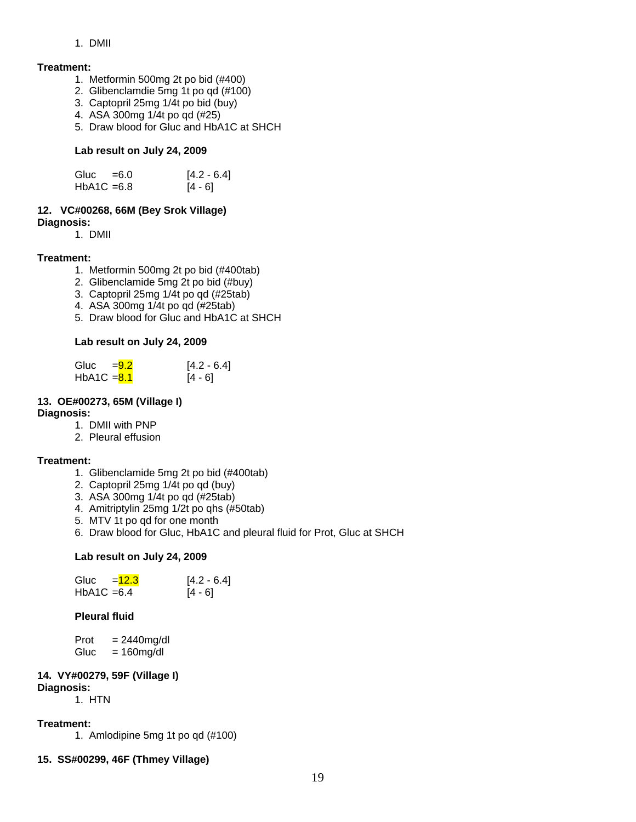1. DMII

#### **Treatment:**

- 1. Metformin 500mg 2t po bid (#400)
- 2. Glibenclamdie 5mg 1t po qd (#100)
- 3. Captopril 25mg 1/4t po bid (buy)
- 4. ASA 300mg 1/4t po qd (#25)
- 5. Draw blood for Gluc and HbA1C at SHCH

#### **Lab result on July 24, 2009**

| Gluc $=6.0$   | $[4.2 - 6.4]$ |
|---------------|---------------|
| $HbA1C = 6.8$ | $[4 - 6]$     |

# **12. VC#00268, 66M (Bey Srok Village)**

**Diagnosis:**

1. DMII

# **Treatment:**

- 1. Metformin 500mg 2t po bid (#400tab)
- 2. Glibenclamide 5mg 2t po bid (#buy)
- 3. Captopril 25mg 1/4t po qd (#25tab)
- 4. ASA 300mg 1/4t po qd (#25tab)
- 5. Draw blood for Gluc and HbA1C at SHCH

# **Lab result on July 24, 2009**

| Gluc $=9.2$   | $[4.2 - 6.4]$ |
|---------------|---------------|
| $HbA1C = 8.1$ | [4 - 6]       |

# **13. OE#00273, 65M (Village I)**

#### **Diagnosis:**

- 1. DMII with PNP
- 2. Pleural effusion

# **Treatment:**

- 1. Glibenclamide 5mg 2t po bid (#400tab)
- 2. Captopril 25mg 1/4t po qd (buy)
- 3. ASA 300mg 1/4t po qd (#25tab)
- 4. Amitriptylin 25mg 1/2t po qhs (#50tab)
- 5. MTV 1t po qd for one month
- 6. Draw blood for Gluc, HbA1C and pleural fluid for Prot, Gluc at SHCH

#### **Lab result on July 24, 2009**

| $=12.3$<br>Gluc | $[4.2 - 6.4]$ |
|-----------------|---------------|
| $HbA1C = 6.4$   | $[4 - 6]$     |

# **Pleural fluid**

| Prot | $= 2440$ mg/dl |
|------|----------------|
| Gluc | $= 160$ mg/dl  |

#### **14. VY#00279, 59F (Village I) Diagnosis:**

1. HTN

#### **Treatment:**

1. Amlodipine 5mg 1t po qd (#100)

# **15. SS#00299, 46F (Thmey Village)**